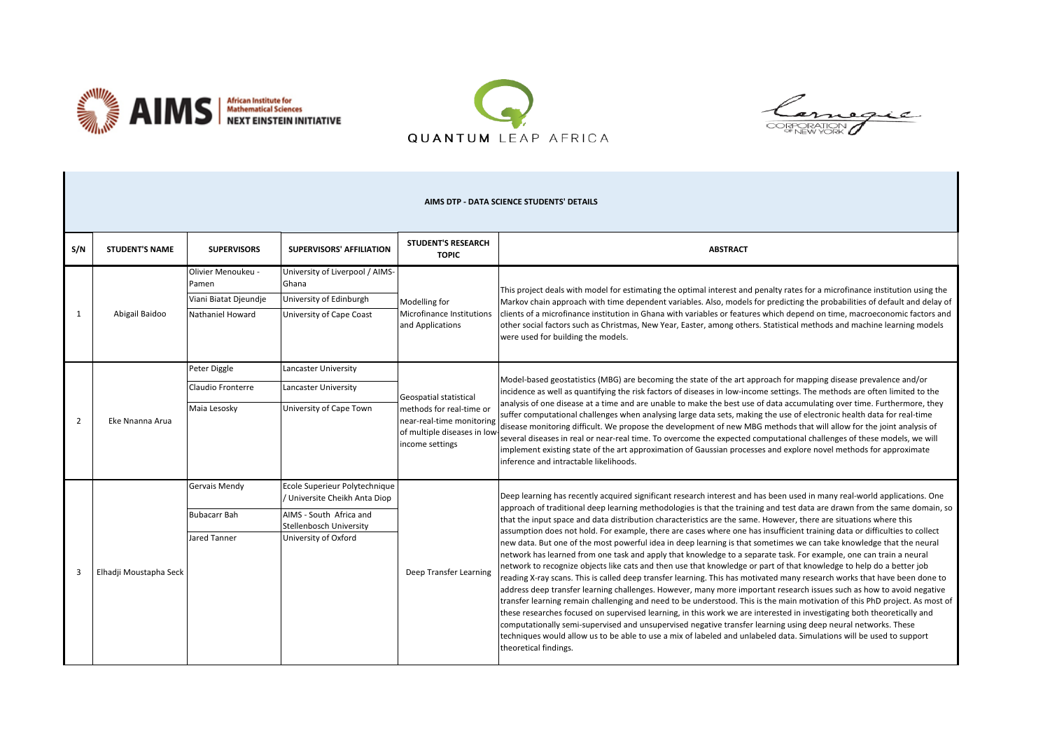





| AIMS DTP - DATA SCIENCE STUDENTS' DETAILS |                        |                                                                          |                                                                                                                                              |                                                                                                                                   |                                                                                                                                                                                                                                                                                                                                                                                                                                                                                                                                                                                                                                                                                                                                                                                                                                                                                                                                                                                                                                                                                                                                                                                                                                                                                                                                                                                                                                                                                                                                                                                                                                                                  |  |  |  |  |
|-------------------------------------------|------------------------|--------------------------------------------------------------------------|----------------------------------------------------------------------------------------------------------------------------------------------|-----------------------------------------------------------------------------------------------------------------------------------|------------------------------------------------------------------------------------------------------------------------------------------------------------------------------------------------------------------------------------------------------------------------------------------------------------------------------------------------------------------------------------------------------------------------------------------------------------------------------------------------------------------------------------------------------------------------------------------------------------------------------------------------------------------------------------------------------------------------------------------------------------------------------------------------------------------------------------------------------------------------------------------------------------------------------------------------------------------------------------------------------------------------------------------------------------------------------------------------------------------------------------------------------------------------------------------------------------------------------------------------------------------------------------------------------------------------------------------------------------------------------------------------------------------------------------------------------------------------------------------------------------------------------------------------------------------------------------------------------------------------------------------------------------------|--|--|--|--|
| S/N                                       | <b>STUDENT'S NAME</b>  | <b>SUPERVISORS</b>                                                       | <b>SUPERVISORS' AFFILIATION</b>                                                                                                              | <b>STUDENT'S RESEARCH</b><br><b>TOPIC</b>                                                                                         | <b>ABSTRACT</b>                                                                                                                                                                                                                                                                                                                                                                                                                                                                                                                                                                                                                                                                                                                                                                                                                                                                                                                                                                                                                                                                                                                                                                                                                                                                                                                                                                                                                                                                                                                                                                                                                                                  |  |  |  |  |
| 1                                         | Abigail Baidoo         | Olivier Menoukeu -<br>Pamen<br>Viani Biatat Djeundje<br>Nathaniel Howard | University of Liverpool / AIMS-<br>Ghana<br>University of Edinburgh<br>University of Cape Coast                                              | Modelling for<br>Microfinance Institutions<br>and Applications                                                                    | This project deals with model for estimating the optimal interest and penalty rates for a microfinance institution using the<br>Markov chain approach with time dependent variables. Also, models for predicting the probabilities of default and delay of<br>clients of a microfinance institution in Ghana with variables or features which depend on time, macroeconomic factors and<br>other social factors such as Christmas, New Year, Easter, among others. Statistical methods and machine learning models<br>were used for building the models.                                                                                                                                                                                                                                                                                                                                                                                                                                                                                                                                                                                                                                                                                                                                                                                                                                                                                                                                                                                                                                                                                                         |  |  |  |  |
| 2                                         | Eke Nnanna Arua        | Peter Diggle<br>Claudio Fronterre<br>Maia Lesosky                        | Lancaster University<br>Lancaster University<br>University of Cape Town                                                                      | Geospatial statistical<br>methods for real-time or<br>near-real-time monitoring<br>of multiple diseases in low<br>income settings | Model-based geostatistics (MBG) are becoming the state of the art approach for mapping disease prevalence and/or<br>incidence as well as quantifying the risk factors of diseases in low-income settings. The methods are often limited to the<br>analysis of one disease at a time and are unable to make the best use of data accumulating over time. Furthermore, they<br>suffer computational challenges when analysing large data sets, making the use of electronic health data for real-time<br>disease monitoring difficult. We propose the development of new MBG methods that will allow for the joint analysis of<br>several diseases in real or near-real time. To overcome the expected computational challenges of these models, we will<br>implement existing state of the art approximation of Gaussian processes and explore novel methods for approximate<br>inference and intractable likelihoods.                                                                                                                                                                                                                                                                                                                                                                                                                                                                                                                                                                                                                                                                                                                                            |  |  |  |  |
|                                           | Elhadji Moustapha Seck | Gervais Mendy<br><b>Bubacarr Bah</b><br>Jared Tanner                     | Ecole Superieur Polytechnique<br>/ Universite Cheikh Anta Diop<br>AIMS - South Africa and<br>Stellenbosch University<br>University of Oxford | Deep Transfer Learning                                                                                                            | Deep learning has recently acquired significant research interest and has been used in many real-world applications. One<br>approach of traditional deep learning methodologies is that the training and test data are drawn from the same domain, so<br>that the input space and data distribution characteristics are the same. However, there are situations where this<br>assumption does not hold. For example, there are cases where one has insufficient training data or difficulties to collect<br>new data. But one of the most powerful idea in deep learning is that sometimes we can take knowledge that the neural<br>network has learned from one task and apply that knowledge to a separate task. For example, one can train a neural<br>network to recognize objects like cats and then use that knowledge or part of that knowledge to help do a better job<br>reading X-ray scans. This is called deep transfer learning. This has motivated many research works that have been done to<br>address deep transfer learning challenges. However, many more important research issues such as how to avoid negative<br>transfer learning remain challenging and need to be understood. This is the main motivation of this PhD project. As most of<br>these researches focused on supervised learning, in this work we are interested in investigating both theoretically and<br>computationally semi-supervised and unsupervised negative transfer learning using deep neural networks. These<br>techniques would allow us to be able to use a mix of labeled and unlabeled data. Simulations will be used to support<br>theoretical findings. |  |  |  |  |